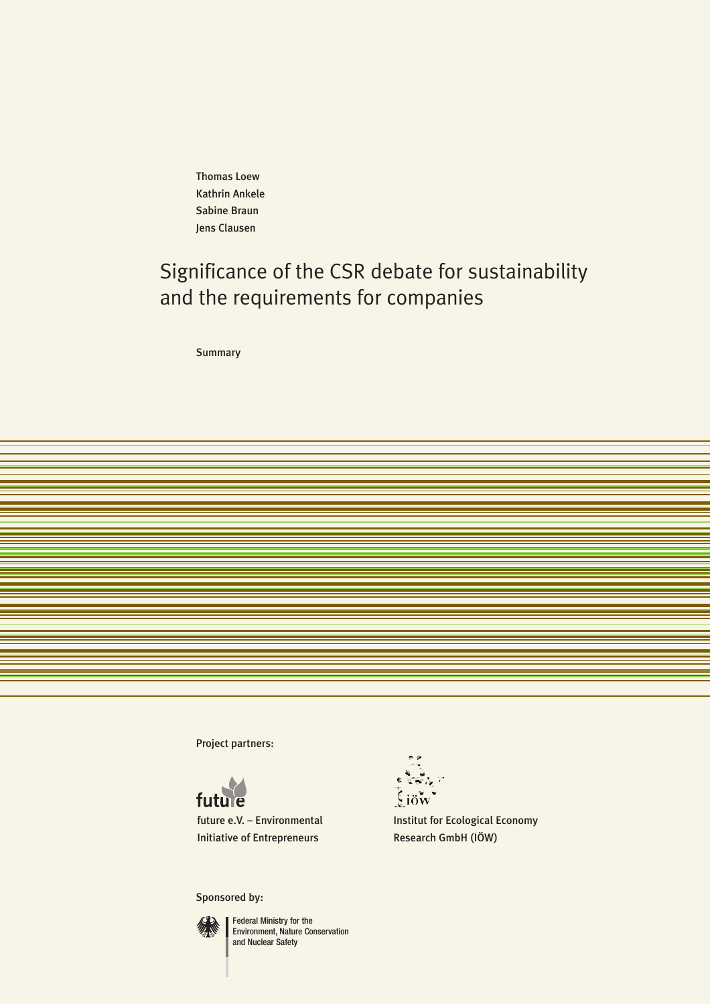Thomas Loew Kathrin Ankele Sabine Braun Jens Clausen

# Significance of the CSR debate for sustainability and the requirements for companies

**Summary** 

Project partners:



[future e.V. – Environmental](http://www.future-ev.de) Initiative of Entrepreneurs

Sponsored by:



Federal Ministry for the [Environment, Nature Conservation](http://www.bmu.de)  and Nuclear Safety

 $\left[\xi\right]$ iöw

[Institut for Ecological Economy](http://www.ioew.de) Research GmbH (IÖW)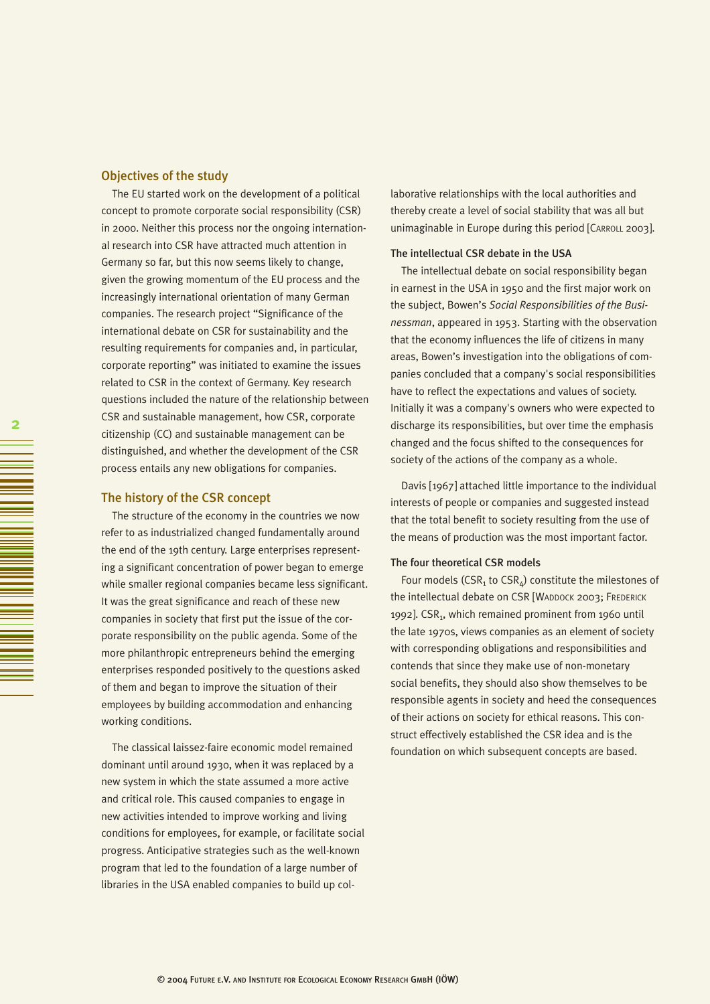## Objectives of the study

The EU started work on the development of a political concept to promote corporate social responsibility (CSR) in 2000. Neither this process nor the ongoing international research into CSR have attracted much attention in Germany so far, but this now seems likely to change, given the growing momentum of the EU process and the increasingly international orientation of many German companies. The research project "Significance of the international debate on CSR for sustainability and the resulting requirements for companies and, in particular, corporate reporting" was initiated to examine the issues related to CSR in the context of Germany. Key research questions included the nature of the relationship between CSR and sustainable management, how CSR, corporate citizenship (CC) and sustainable management can be distinguished, and whether the development of the CSR process entails any new obligations for companies.

#### The history of the CSR concept

The structure of the economy in the countries we now refer to as industrialized changed fundamentally around the end of the 19th century. Large enterprises representing a significant concentration of power began to emerge while smaller regional companies became less significant. It was the great significance and reach of these new companies in society that first put the issue of the corporate responsibility on the public agenda. Some of the more philanthropic entrepreneurs behind the emerging enterprises responded positively to the questions asked of them and began to improve the situation of their employees by building accommodation and enhancing working conditions.

The classical laissez-faire economic model remained dominant until around 1930, when it was replaced by a new system in which the state assumed a more active and critical role. This caused companies to engage in new activities intended to improve working and living conditions for employees, for example, or facilitate social progress. Anticipative strategies such as the well-known program that led to the foundation of a large number of libraries in the USA enabled companies to build up collaborative relationships with the local authorities and thereby create a level of social stability that was all but unimaginable in Europe during this period [CARROLL 2003].

#### The intellectual CSR debate in the USA

The intellectual debate on social responsibility began in earnest in the USA in 1950 and the first major work on the subject, Bowen's *Social Responsibilities of the Businessman*, appeared in 1953. Starting with the observation that the economy influences the life of citizens in many areas, Bowen's investigation into the obligations of companies concluded that a company's social responsibilities have to reflect the expectations and values of society. Initially it was a company's owners who were expected to discharge its responsibilities, but over time the emphasis changed and the focus shifted to the consequences for society of the actions of the company as a whole.

Davis [1967] attached little importance to the individual interests of people or companies and suggested instead that the total benefit to society resulting from the use of the means of production was the most important factor.

#### The four theoretical CSR models

Four models (CSR<sub>1</sub> to CSR<sub> $4$ </sub>) constitute the milestones of the intellectual debate on CSR [WADDOCK 2003; FREDERICK 1992]. CSR<sub>1</sub>, which remained prominent from 1960 until the late 1970s, views companies as an element of society with corresponding obligations and responsibilities and contends that since they make use of non-monetary social benefits, they should also show themselves to be responsible agents in society and heed the consequences of their actions on society for ethical reasons. This construct effectively established the CSR idea and is the foundation on which subsequent concepts are based.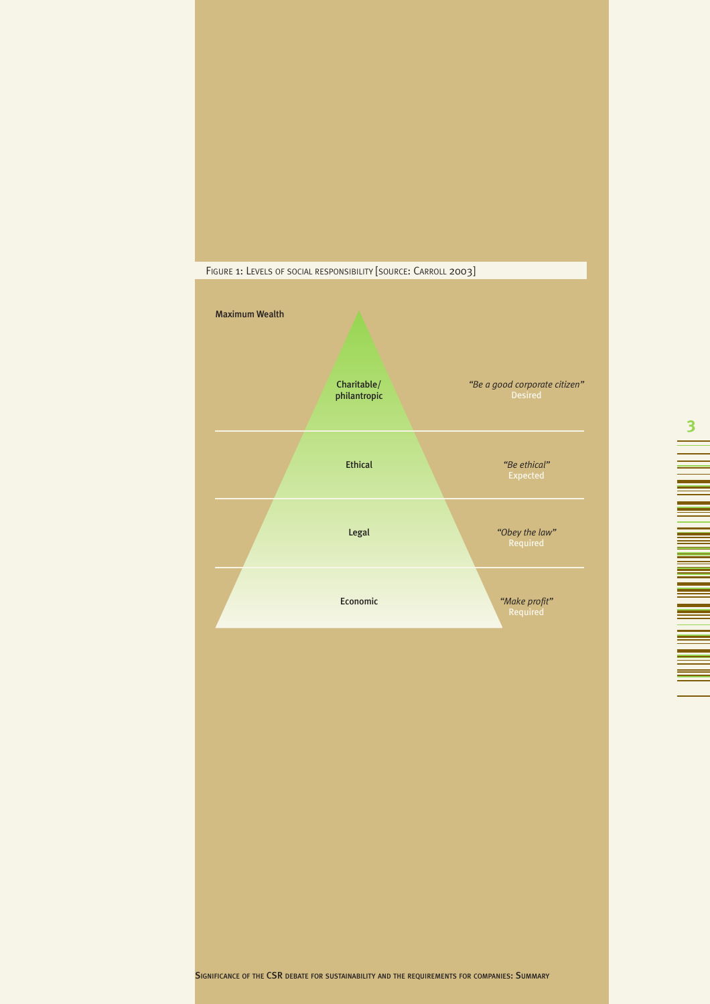

**3**

÷ ٠

▄ <u>era</u> 

> e<br>He ۰ ۳

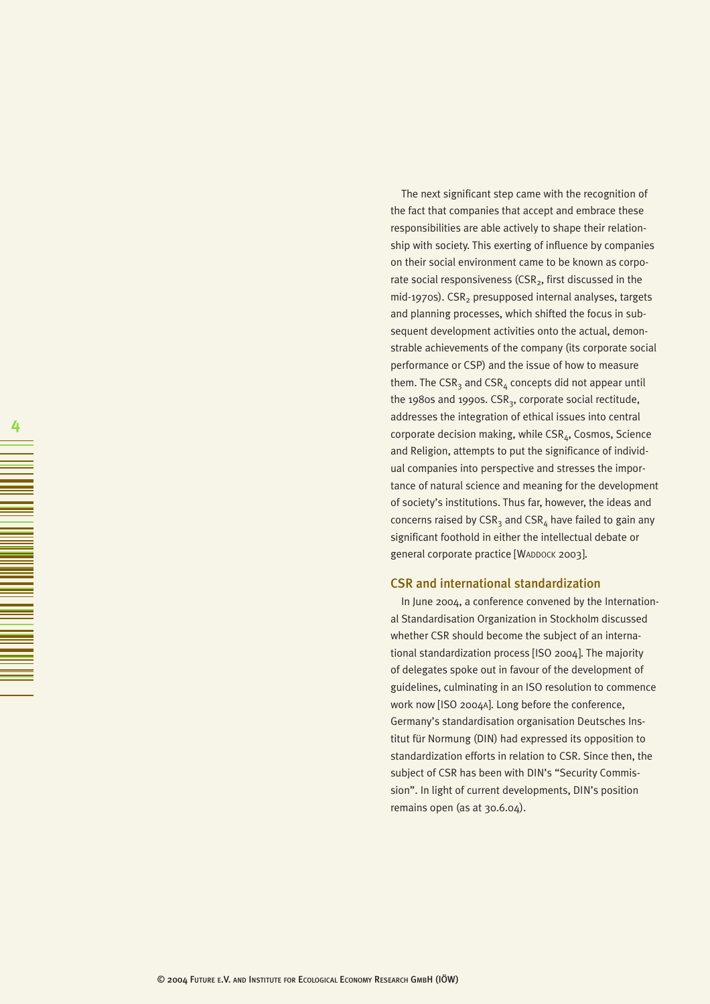The next significant step came with the recognition of the fact that companies that accept and embrace these responsibilities are able actively to shape their relationship with society. This exerting of influence by companies on their social environment came to be known as corporate social responsiveness (CSR $_2$ , first discussed in the  $mid-1970s$ ). CSR<sub>2</sub> presupposed internal analyses, targets and planning processes, which shifted the focus in subsequent development activities onto the actual, demonstrable achievements of the company (its corporate social performance or CSP) and the issue of how to measure them. The CSR<sub>3</sub> and CSR<sub>4</sub> concepts did not appear until the 1980s and 1990s.  $CSR<sub>2</sub>$ , corporate social rectitude, addresses the integration of ethical issues into central corporate decision making, while CSR<sub>4</sub>, Cosmos, Science and Religion, attempts to put the significance of individual companies into perspective and stresses the importance of natural science and meaning for the development of society's institutions. Thus far, however, the ideas and concerns raised by  $CSR_{3}$  and  $CSR_{4}$  have failed to gain any significant foothold in either the intellectual debate or general corporate practice [WADDOCK 2003].

# CSR and international standardization

In June 2004, a conference convened by the International Standardisation Organization in Stockholm discussed whether CSR should become the subject of an international standardization process [ISO 2004]. The majority of delegates spoke out in favour of the development of guidelines, culminating in an ISO resolution to commence work now [ISO 2004A]. Long before the conference, Germany's standardisation organisation Deutsches Institut für Normung (DIN) had expressed its opposition to standardization efforts in relation to CSR. Since then, the subject of CSR has been with DIN's "Security Commission". In light of current developments, DIN's position remains open (as at 30.6.04).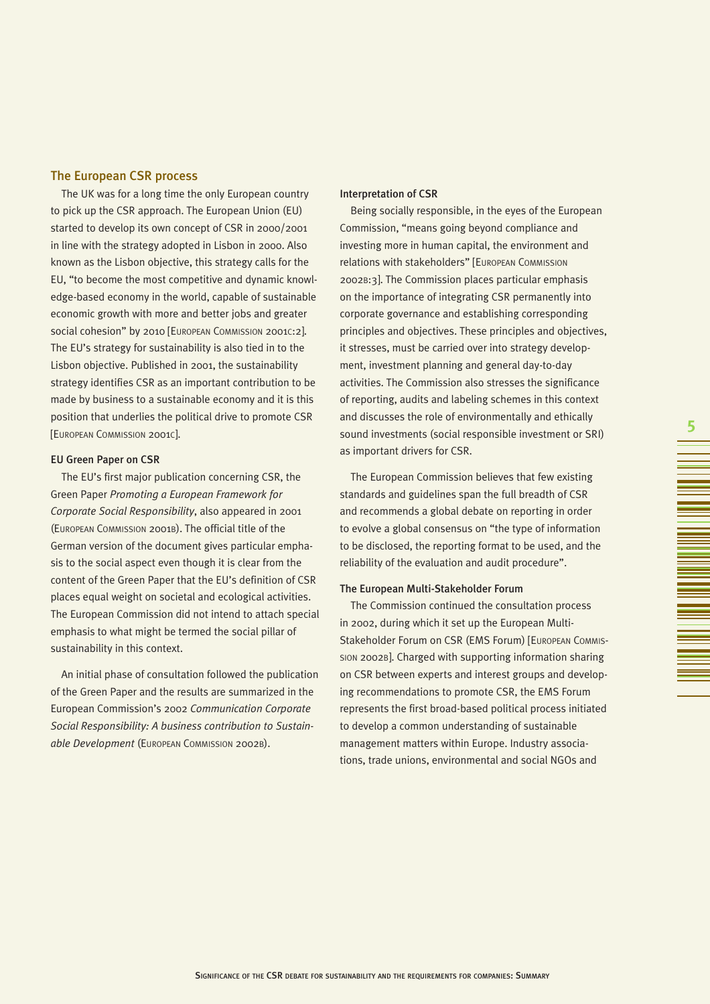# The European CSR process

The UK was for a long time the only European country to pick up the CSR approach. The European Union (EU) started to develop its own concept of CSR in 2000/2001 in line with the strategy adopted in Lisbon in 2000. Also known as the Lisbon objective, this strategy calls for the EU, "to become the most competitive and dynamic knowledge-based economy in the world, capable of sustainable economic growth with more and better jobs and greater social cohesion" by 2010 [EUROPEAN COMMISSION 2001C:2]. The EU's strategy for sustainability is also tied in to the Lisbon objective. Published in 2001, the sustainability strategy identifies CSR as an important contribution to be made by business to a sustainable economy and it is this position that underlies the political drive to promote CSR [EUROPEAN COMMISSION 2001C].

#### EU Green Paper on CSR

The EU's first major publication concerning CSR, the Green Paper *Promoting a European Framework for Corporate Social Responsibility*, also appeared in 2001 (EUROPEAN COMMISSION 2001B). The official title of the German version of the document gives particular emphasis to the social aspect even though it is clear from the content of the Green Paper that the EU's definition of CSR places equal weight on societal and ecological activities. The European Commission did not intend to attach special emphasis to what might be termed the social pillar of sustainability in this context.

An initial phase of consultation followed the publication of the Green Paper and the results are summarized in the European Commission's 2002 *Communication Corporate Social Responsibility: A business contribution to Sustainable Development* (EUROPEAN COMMISSION 2002B).

#### Interpretation of CSR

Being socially responsible, in the eyes of the European Commission, "means going beyond compliance and investing more in human capital, the environment and relations with stakeholders" [EUROPEAN COMMISSION 2002B:3]. The Commission places particular emphasis on the importance of integrating CSR permanently into corporate governance and establishing corresponding principles and objectives. These principles and objectives, it stresses, must be carried over into strategy development, investment planning and general day-to-day activities. The Commission also stresses the significance of reporting, audits and labeling schemes in this context and discusses the role of environmentally and ethically sound investments (social responsible investment or SRI) as important drivers for CSR.

**5**

The European Commission believes that few existing standards and guidelines span the full breadth of CSR and recommends a global debate on reporting in order to evolve a global consensus on "the type of information to be disclosed, the reporting format to be used, and the reliability of the evaluation and audit procedure".

#### The European Multi-Stakeholder Forum

The Commission continued the consultation process in 2002, during which it set up the European Multi-Stakeholder Forum on CSR (EMS Forum) [EUROPEAN COMMIS-SION 2002B]. Charged with supporting information sharing on CSR between experts and interest groups and developing recommendations to promote CSR, the EMS Forum represents the first broad-based political process initiated to develop a common understanding of sustainable management matters within Europe. Industry associations, trade unions, environmental and social NGOs and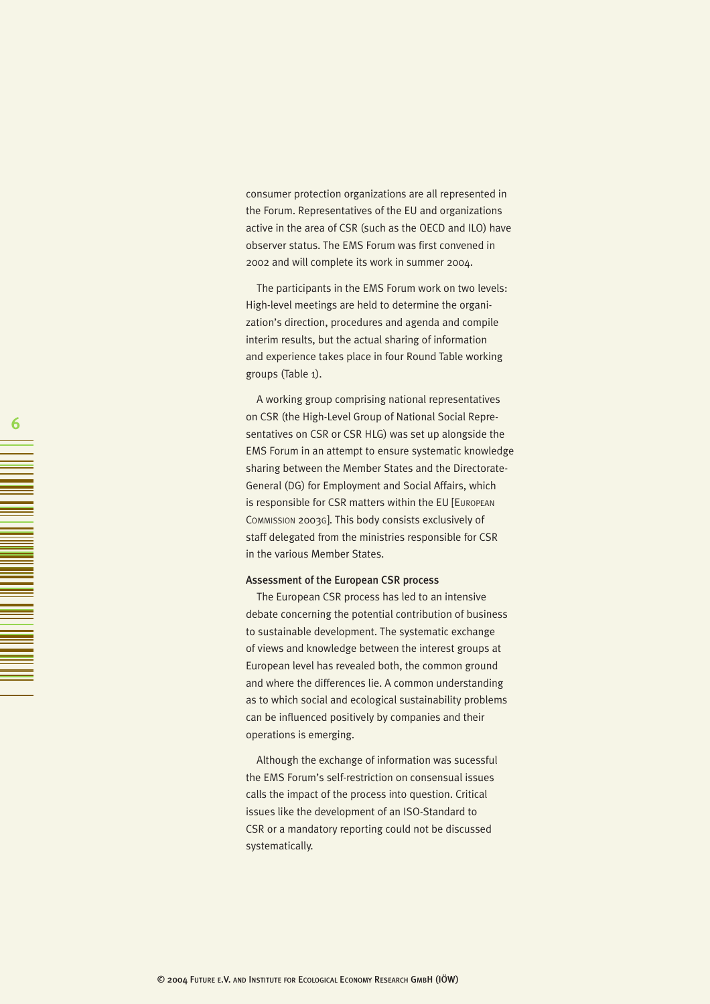consumer protection organizations are all represented in the Forum. Representatives of the EU and organizations active in the area of CSR (such as the OECD and ILO) have observer status. The EMS Forum was first convened in 2002 and will complete its work in summer 2004.

The participants in the EMS Forum work on two levels: High-level meetings are held to determine the organization's direction, procedures and agenda and compile interim results, but the actual sharing of information and experience takes place in four Round Table working groups (Table 1).

A working group comprising national representatives on CSR (the High-Level Group of National Social Representatives on CSR or CSR HLG) was set up alongside the EMS Forum in an attempt to ensure systematic knowledge sharing between the Member States and the Directorate-General (DG) for Employment and Social Affairs, which is responsible for CSR matters within the EU [EUROPEAN COMMISSION 2003G]. This body consists exclusively of staff delegated from the ministries responsible for CSR in the various Member States.

#### Assessment of the European CSR process

The European CSR process has led to an intensive debate concerning the potential contribution of business to sustainable development. The systematic exchange of views and knowledge between the interest groups at European level has revealed both, the common ground and where the differences lie. A common understanding as to which social and ecological sustainability problems can be influenced positively by companies and their operations is emerging.

Although the exchange of information was sucessful the EMS Forum's self-restriction on consensual issues calls the impact of the process into question. Critical issues like the development of an ISO-Standard to CSR or a mandatory reporting could not be discussed systematically.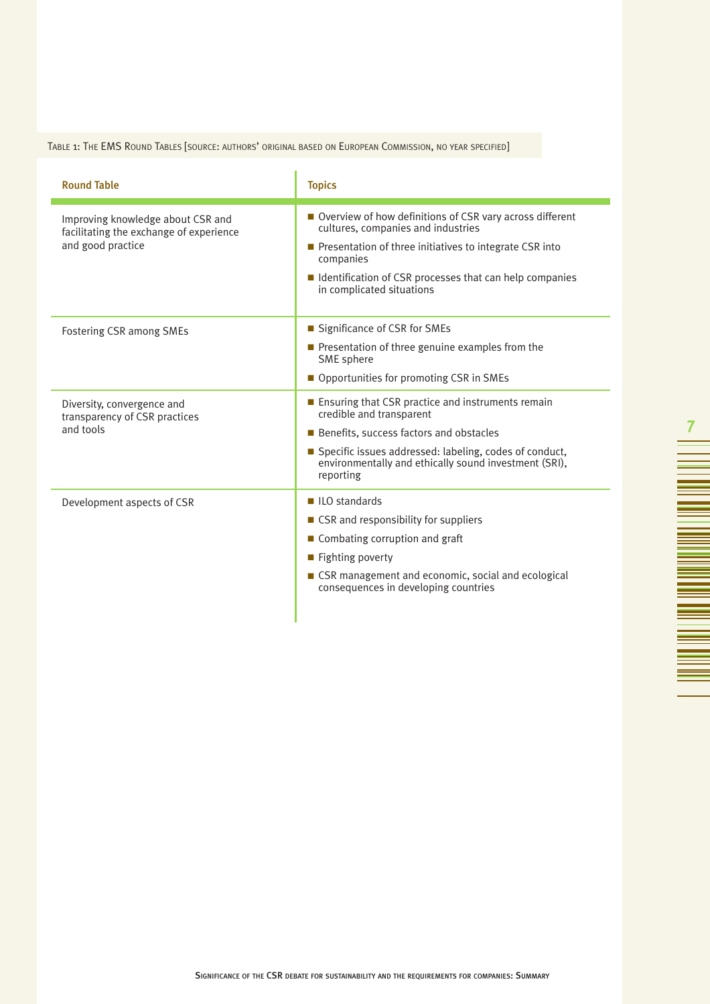# TABLE 1: THE EMS ROUND TABLES [SOURCE: AUTHORS' ORIGINAL BASED ON EUROPEAN COMMISSION, NO YEAR SPECIFIED]

| <b>Round Table</b>                                                                                | <b>Topics</b>                                                                                                                                                                                                                                                                     |
|---------------------------------------------------------------------------------------------------|-----------------------------------------------------------------------------------------------------------------------------------------------------------------------------------------------------------------------------------------------------------------------------------|
| Improving knowledge about CSR and<br>facilitating the exchange of experience<br>and good practice | ■ Overview of how definitions of CSR vary across different<br>cultures, companies and industries<br>$\blacksquare$ Presentation of three initiatives to integrate CSR into<br>companies<br>■ Identification of CSR processes that can help companies<br>in complicated situations |
| <b>Fostering CSR among SMEs</b>                                                                   | ■ Significance of CSR for SMEs<br>$\blacksquare$ Presentation of three genuine examples from the<br>SME sphere<br>■ Opportunities for promoting CSR in SMEs                                                                                                                       |
| Diversity, convergence and<br>transparency of CSR practices<br>and tools                          | ■ Ensuring that CSR practice and instruments remain<br>credible and transparent<br>Benefits, success factors and obstacles<br>Specific issues addressed: labeling, codes of conduct,<br>environmentally and ethically sound investment (SRI),<br>reporting                        |
| Development aspects of CSR                                                                        | $\blacksquare$ ILO standards<br>■ CSR and responsibility for suppliers<br>■ Combating corruption and graft<br>$\blacksquare$ Fighting poverty<br>■ CSR management and economic, social and ecological<br>consequences in developing countries                                     |

**7**

an an I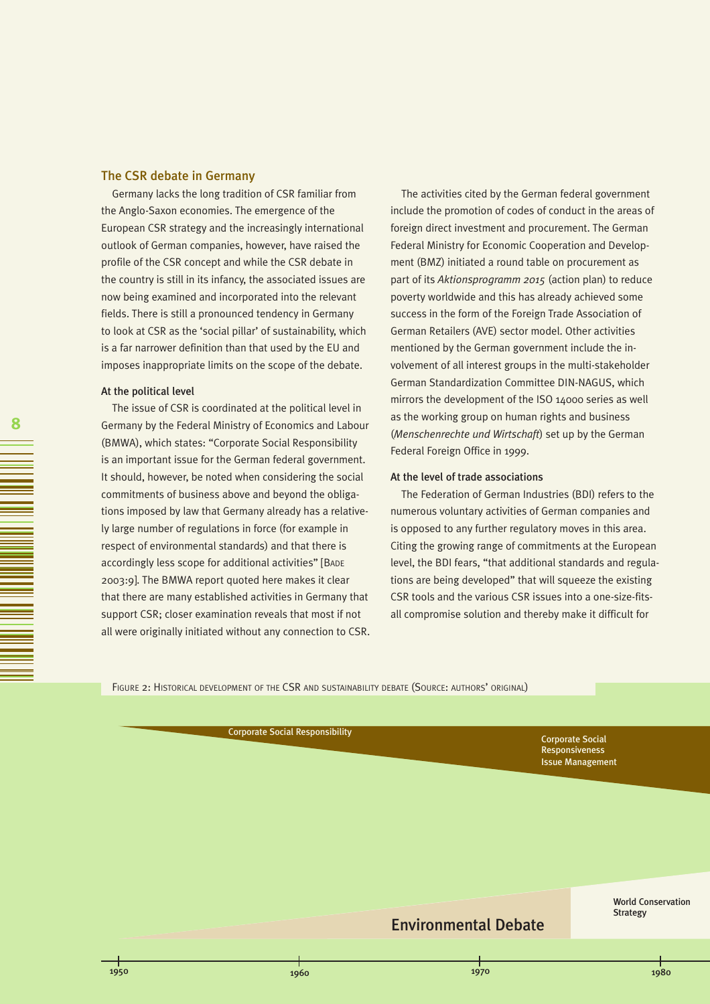#### The CSR debate in Germany

Germany lacks the long tradition of CSR familiar from the Anglo-Saxon economies. The emergence of the European CSR strategy and the increasingly international outlook of German companies, however, have raised the profile of the CSR concept and while the CSR debate in the country is still in its infancy, the associated issues are now being examined and incorporated into the relevant fields. There is still a pronounced tendency in Germany to look at CSR as the 'social pillar' of sustainability, which is a far narrower definition than that used by the EU and imposes inappropriate limits on the scope of the debate.

#### At the political level

The issue of CSR is coordinated at the political level in Germany by the Federal Ministry of Economics and Labour (BMWA), which states: "Corporate Social Responsibility is an important issue for the German federal government. It should, however, be noted when considering the social commitments of business above and beyond the obligations imposed by law that Germany already has a relatively large number of regulations in force (for example in respect of environmental standards) and that there is accordingly less scope for additional activities" [BADE 2003:9]. The BMWA report quoted here makes it clear that there are many established activities in Germany that support CSR; closer examination reveals that most if not all were originally initiated without any connection to CSR.

The activities cited by the German federal government include the promotion of codes of conduct in the areas of foreign direct investment and procurement. The German Federal Ministry for Economic Cooperation and Development (BMZ) initiated a round table on procurement as part of its *Aktionsprogramm 2015* (action plan) to reduce poverty worldwide and this has already achieved some success in the form of the Foreign Trade Association of German Retailers (AVE) sector model. Other activities mentioned by the German government include the involvement of all interest groups in the multi-stakeholder German Standardization Committee DIN-NAGUS, which mirrors the development of the ISO 14000 series as well as the working group on human rights and business (*Menschenrechte und Wirtschaft*) set up by the German Federal Foreign Office in 1999.

#### At the level of trade associations

The Federation of German Industries (BDI) refers to the numerous voluntary activities of German companies and is opposed to any further regulatory moves in this area. Citing the growing range of commitments at the European level, the BDI fears, "that additional standards and regulations are being developed" that will squeeze the existing CSR tools and the various CSR issues into a one-size-fitsall compromise solution and thereby make it difficult for

FIGURE 2: HISTORICAL DEVELOPMENT OF THE CSR AND SUSTAINABILITY DEBATE (SOURCE: AUTHORS' ORIGINAL)

Corporate Social Responsibility<br>
Corporate Social Contents of Corporate Social Corporate Social Corporate Social Corporate Social Corporate Social Corporate Social Corporate Social Corporate Social Corporate Social Corpora

Responsiveness Issue Management

> World Conservation Strategy

# Environmental Debate

1950 1960 1970 1980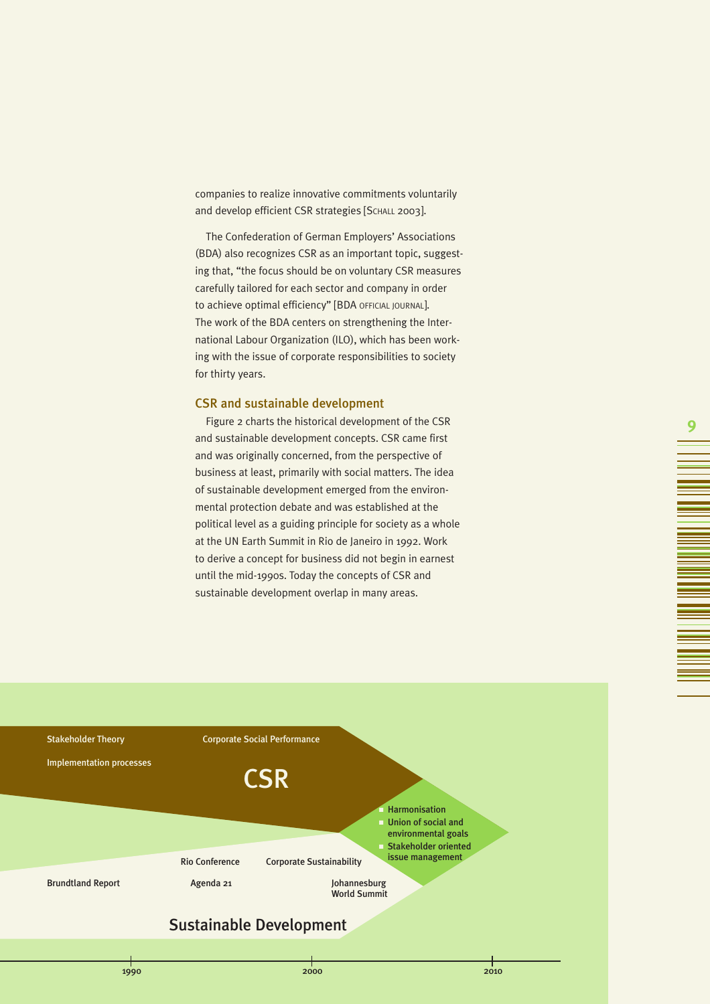companies to realize innovative commitments voluntarily and develop efficient CSR strategies [SCHALL 2003].

The Confederation of German Employers' Associations (BDA) also recognizes CSR as an important topic, suggesting that, "the focus should be on voluntary CSR measures carefully tailored for each sector and company in order to achieve optimal efficiency" [BDA OFFICIAL JOURNAL]. The work of the BDA centers on strengthening the International Labour Organization (ILO), which has been working with the issue of corporate responsibilities to society for thirty years.

#### CSR and sustainable development

Figure 2 charts the historical development of the CSR and sustainable development concepts. CSR came first and was originally concerned, from the perspective of business at least, primarily with social matters. The idea of sustainable development emerged from the environmental protection debate and was established at the political level as a guiding principle for society as a whole at the UN Earth Summit in Rio de Janeiro in 1992. Work to derive a concept for business did not begin in earnest until the mid-1990s. Today the concepts of CSR and sustainable development overlap in many areas.

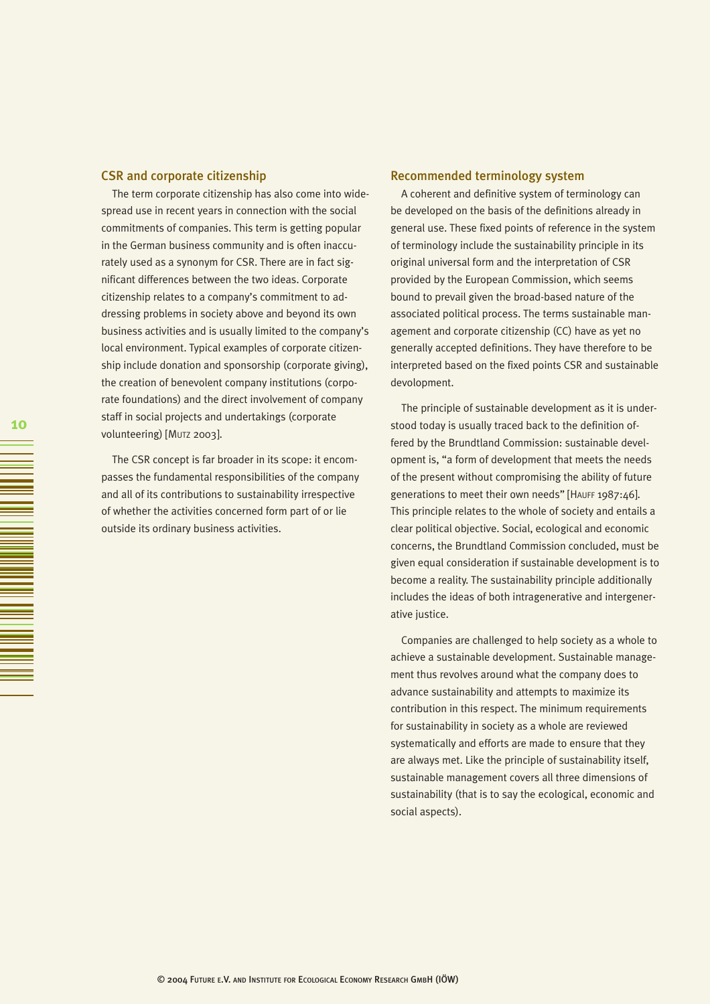#### CSR and corporate citizenship

The term corporate citizenship has also come into widespread use in recent years in connection with the social commitments of companies. This term is getting popular in the German business community and is often inaccurately used as a synonym for CSR. There are in fact significant differences between the two ideas. Corporate citizenship relates to a company's commitment to addressing problems in society above and beyond its own business activities and is usually limited to the company's local environment. Typical examples of corporate citizenship include donation and sponsorship (corporate giving), the creation of benevolent company institutions (corporate foundations) and the direct involvement of company staff in social projects and undertakings (corporate volunteering) [MUTZ 2003].

The CSR concept is far broader in its scope: it encompasses the fundamental responsibilities of the company and all of its contributions to sustainability irrespective of whether the activities concerned form part of or lie outside its ordinary business activities.

#### Recommended terminology system

A coherent and definitive system of terminology can be developed on the basis of the definitions already in general use. These fixed points of reference in the system of terminology include the sustainability principle in its original universal form and the interpretation of CSR provided by the European Commission, which seems bound to prevail given the broad-based nature of the associated political process. The terms sustainable management and corporate citizenship (CC) have as yet no generally accepted definitions. They have therefore to be interpreted based on the fixed points CSR and sustainable devolopment.

The principle of sustainable development as it is understood today is usually traced back to the definition offered by the Brundtland Commission: sustainable development is, "a form of development that meets the needs of the present without compromising the ability of future generations to meet their own needs" [HAUFF 1987:46]. This principle relates to the whole of society and entails a clear political objective. Social, ecological and economic concerns, the Brundtland Commission concluded, must be given equal consideration if sustainable development is to become a reality. The sustainability principle additionally includes the ideas of both intragenerative and intergenerative justice.

Companies are challenged to help society as a whole to achieve a sustainable development. Sustainable management thus revolves around what the company does to advance sustainability and attempts to maximize its contribution in this respect. The minimum requirements for sustainability in society as a whole are reviewed systematically and efforts are made to ensure that they are always met. Like the principle of sustainability itself, sustainable management covers all three dimensions of sustainability (that is to say the ecological, economic and social aspects).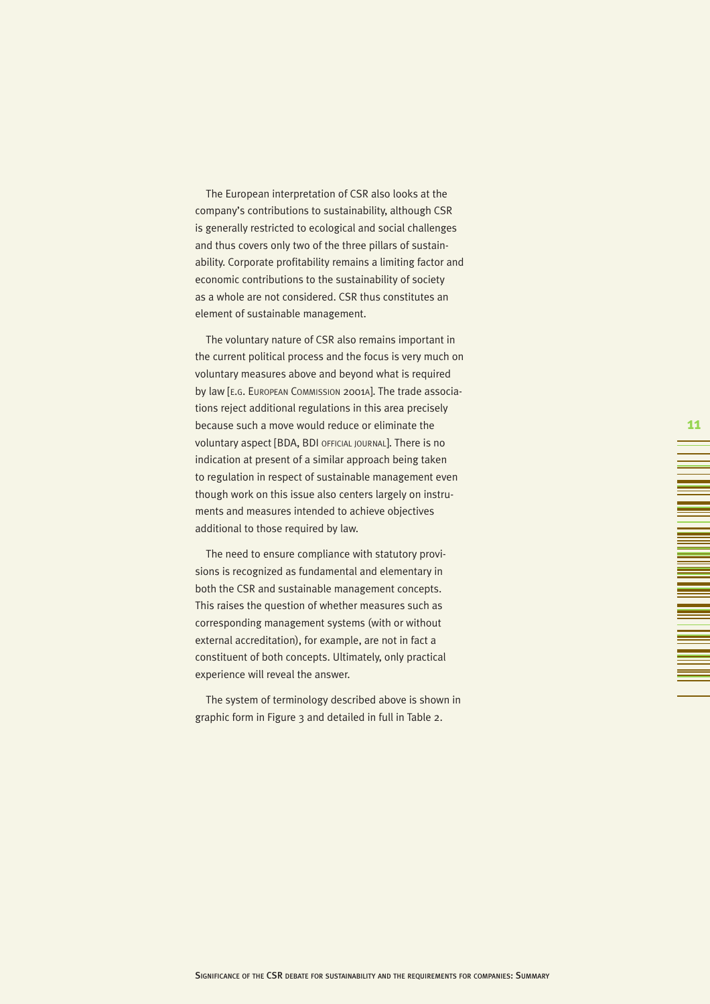The European interpretation of CSR also looks at the company's contributions to sustainability, although CSR is generally restricted to ecological and social challenges and thus covers only two of the three pillars of sustainability. Corporate profitability remains a limiting factor and economic contributions to the sustainability of society as a whole are not considered. CSR thus constitutes an element of sustainable management.

The voluntary nature of CSR also remains important in the current political process and the focus is very much on voluntary measures above and beyond what is required by law [E.G. EUROPEAN COMMISSION 2001A]. The trade associations reject additional regulations in this area precisely because such a move would reduce or eliminate the voluntary aspect [BDA, BDI OFFICIAL JOURNAL]. There is no indication at present of a similar approach being taken to regulation in respect of sustainable management even though work on this issue also centers largely on instruments and measures intended to achieve objectives additional to those required by law.

The need to ensure compliance with statutory provisions is recognized as fundamental and elementary in both the CSR and sustainable management concepts. This raises the question of whether measures such as corresponding management systems (with or without external accreditation), for example, are not in fact a constituent of both concepts. Ultimately, only practical experience will reveal the answer.

The system of terminology described above is shown in graphic form in Figure 3 and detailed in full in Table 2.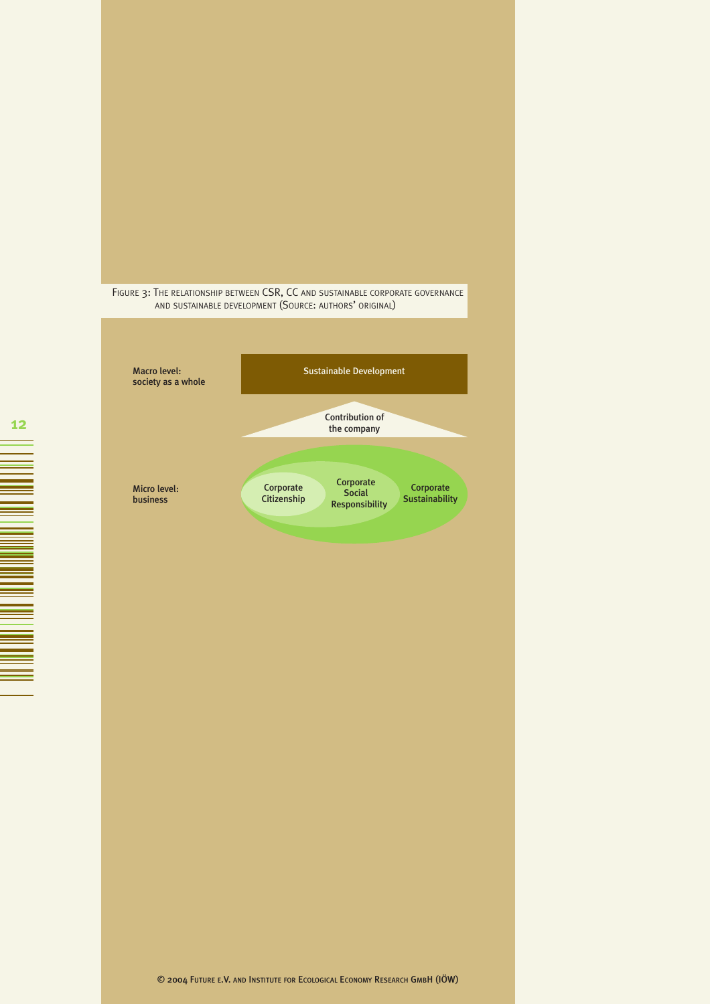

FIGURE 3: THE RELATIONSHIP BETWEEN CSR, CC AND SUSTAINABLE CORPORATE GOVERNANCE AND SUSTAINABLE DEVELOPMENT (SOURCE: AUTHORS' ORIGINAL)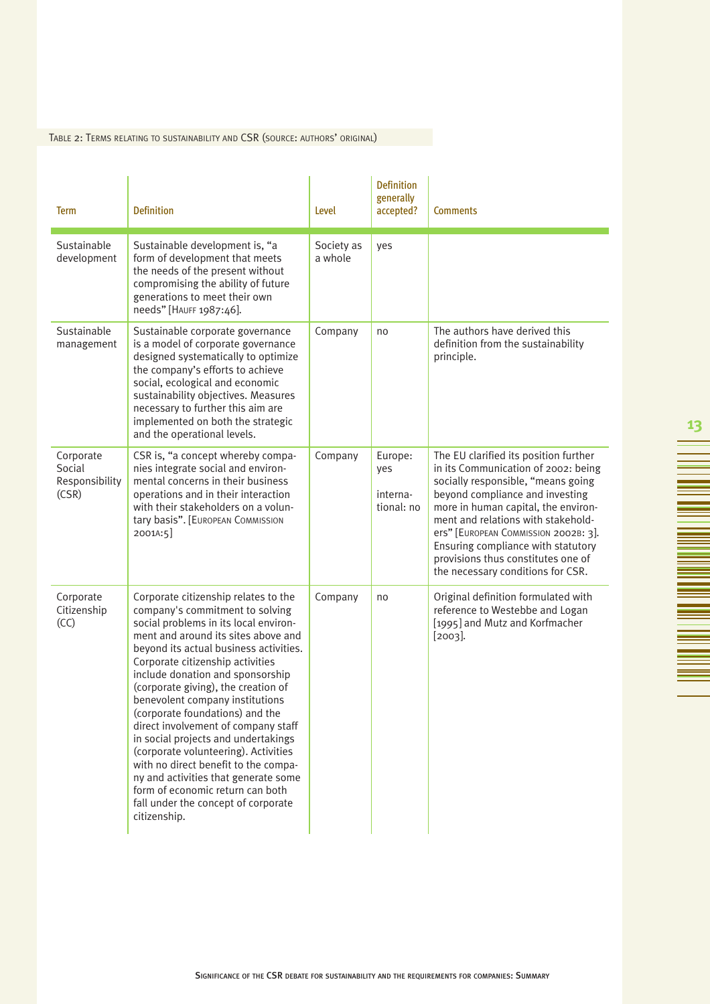# TABLE 2: TERMS RELATING TO SUSTAINABILITY AND CSR (SOURCE: AUTHORS' ORIGINAL)

| <b>Term</b>                                    | <b>Definition</b>                                                                                                                                                                                                                                                                                                                                                                                                                                                                                                                                                                                                                                                                       | Level                 | <b>Definition</b><br>generally<br>accepted? | <b>Comments</b>                                                                                                                                                                                                                                                                                                                                                                             |
|------------------------------------------------|-----------------------------------------------------------------------------------------------------------------------------------------------------------------------------------------------------------------------------------------------------------------------------------------------------------------------------------------------------------------------------------------------------------------------------------------------------------------------------------------------------------------------------------------------------------------------------------------------------------------------------------------------------------------------------------------|-----------------------|---------------------------------------------|---------------------------------------------------------------------------------------------------------------------------------------------------------------------------------------------------------------------------------------------------------------------------------------------------------------------------------------------------------------------------------------------|
| Sustainable<br>development                     | Sustainable development is, "a<br>form of development that meets<br>the needs of the present without<br>compromising the ability of future<br>generations to meet their own<br>needs" [HAUFF 1987:46].                                                                                                                                                                                                                                                                                                                                                                                                                                                                                  | Society as<br>a whole | yes                                         |                                                                                                                                                                                                                                                                                                                                                                                             |
| Sustainable<br>management                      | Sustainable corporate governance<br>is a model of corporate governance<br>designed systematically to optimize<br>the company's efforts to achieve<br>social, ecological and economic<br>sustainability objectives. Measures<br>necessary to further this aim are<br>implemented on both the strategic<br>and the operational levels.                                                                                                                                                                                                                                                                                                                                                    | Company               | no                                          | The authors have derived this<br>definition from the sustainability<br>principle.                                                                                                                                                                                                                                                                                                           |
| Corporate<br>Social<br>Responsibility<br>(CSR) | CSR is, "a concept whereby compa-<br>nies integrate social and environ-<br>mental concerns in their business<br>operations and in their interaction<br>with their stakeholders on a volun-<br>tary basis". [EUROPEAN COMMISSION<br>2001A:5]                                                                                                                                                                                                                                                                                                                                                                                                                                             | Company               | Europe:<br>yes<br>interna-<br>tional: no    | The EU clarified its position further<br>in its Communication of 2002: being<br>socially responsible, "means going<br>beyond compliance and investing<br>more in human capital, the environ-<br>ment and relations with stakehold-<br>ers" [EUROPEAN COMMISSION 2002B: 3].<br>Ensuring compliance with statutory<br>provisions thus constitutes one of<br>the necessary conditions for CSR. |
| Corporate<br>Citizenship<br>(CC)               | Corporate citizenship relates to the<br>company's commitment to solving<br>social problems in its local environ-<br>ment and around its sites above and<br>beyond its actual business activities.<br>Corporate citizenship activities<br>include donation and sponsorship<br>(corporate giving), the creation of<br>benevolent company institutions<br>(corporate foundations) and the<br>direct involvement of company staff<br>in social projects and undertakings<br>(corporate volunteering). Activities<br>with no direct benefit to the compa-<br>ny and activities that generate some<br>form of economic return can both<br>fall under the concept of corporate<br>citizenship. | Company               | no                                          | Original definition formulated with<br>reference to Westebbe and Logan<br>[1995] and Mutz and Korfmacher<br>$[2003]$ .                                                                                                                                                                                                                                                                      |

▊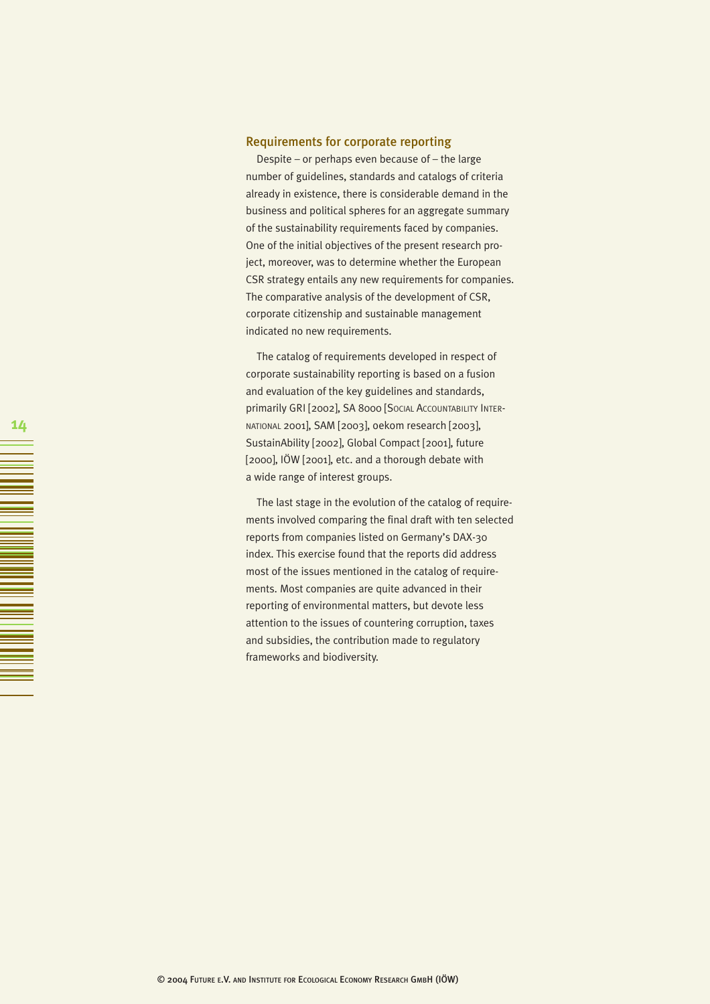# Requirements for corporate reporting

Despite – or perhaps even because of – the large number of guidelines, standards and catalogs of criteria already in existence, there is considerable demand in the business and political spheres for an aggregate summary of the sustainability requirements faced by companies. One of the initial objectives of the present research project, moreover, was to determine whether the European CSR strategy entails any new requirements for companies. The comparative analysis of the development of CSR, corporate citizenship and sustainable management indicated no new requirements.

The catalog of requirements developed in respect of corporate sustainability reporting is based on a fusion and evaluation of the key guidelines and standards, primarily GRI [2002], SA 8000 [SOCIAL ACCOUNTABILITY INTER-NATIONAL 2001], SAM [2003], oekom research [2003], SustainAbility [2002], Global Compact [2001], future [2000], IÖW [2001], etc. and a thorough debate with a wide range of interest groups.

The last stage in the evolution of the catalog of requirements involved comparing the final draft with ten selected reports from companies listed on Germany's DAX-30 index. This exercise found that the reports did address most of the issues mentioned in the catalog of requirements. Most companies are quite advanced in their reporting of environmental matters, but devote less attention to the issues of countering corruption, taxes and subsidies, the contribution made to regulatory frameworks and biodiversity.

MA DI MANUMBRATA DE LA BARBARA EN 1997. EN 1997 EN 1997 EN 1997 EN 1997 EN 1997 EN 1997 EN 1997 EN 1997 EN 199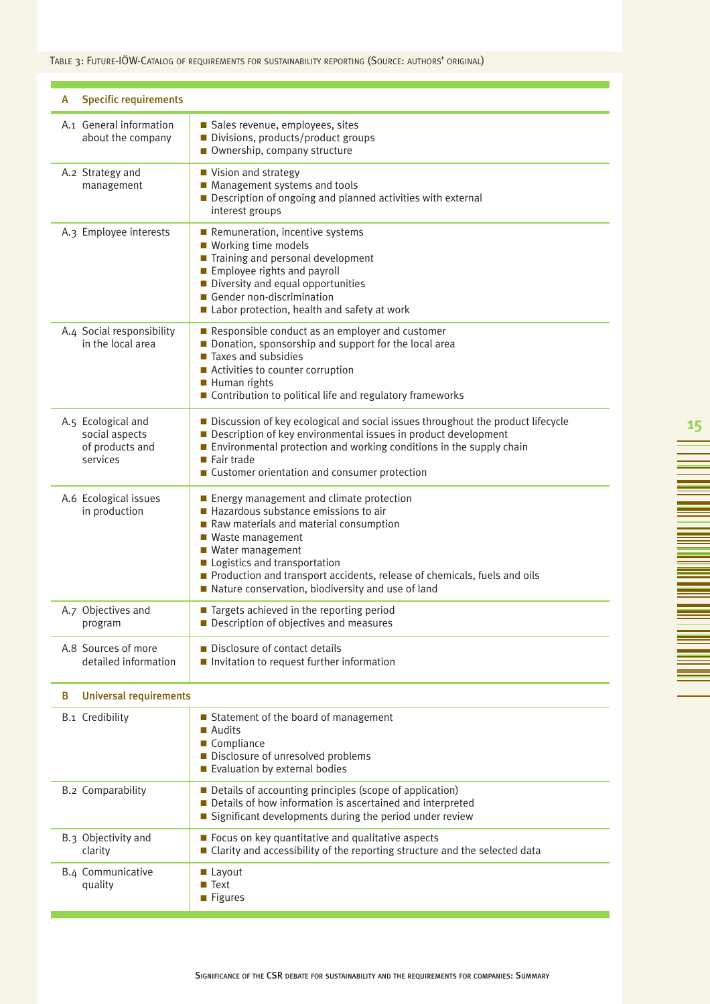TABLE 3: FUTURE-IÖW-CATALOG OF REQUIREMENTS FOR SUSTAINABILITY REPORTING (SOURCE: AUTHORS' ORIGINAL)

| <b>Specific requirements</b><br>A                                   |                                                                                                                                                                                                                                                                                                                                                        |  |  |
|---------------------------------------------------------------------|--------------------------------------------------------------------------------------------------------------------------------------------------------------------------------------------------------------------------------------------------------------------------------------------------------------------------------------------------------|--|--|
| A.1 General information<br>about the company                        | Sales revenue, employees, sites<br>Divisions, products/product groups<br>Ownership, company structure                                                                                                                                                                                                                                                  |  |  |
| A.2 Strategy and<br>management                                      | ■ Vision and strategy<br>Management systems and tools<br>Description of ongoing and planned activities with external<br>interest groups                                                                                                                                                                                                                |  |  |
| A.3 Employee interests                                              | Remuneration, incentive systems<br>■ Working time models<br>Training and personal development<br>Employee rights and payroll<br>Diversity and equal opportunities<br>Gender non-discrimination<br>Labor protection, health and safety at work                                                                                                          |  |  |
| A.4 Social responsibility<br>in the local area                      | Responsible conduct as an employer and customer<br>Donation, sponsorship and support for the local area<br>Taxes and subsidies<br>■ Activities to counter corruption<br>Human rights<br>Contribution to political life and regulatory frameworks                                                                                                       |  |  |
| A.5 Ecological and<br>social aspects<br>of products and<br>services | Discussion of key ecological and social issues throughout the product lifecycle<br>Description of key environmental issues in product development<br>■ Environmental protection and working conditions in the supply chain<br>Fair trade<br>■ Customer orientation and consumer protection                                                             |  |  |
| A.6 Ecological issues<br>in production                              | Energy management and climate protection<br>$\blacksquare$ Hazardous substance emissions to air<br>Raw materials and material consumption<br>■ Waste management<br>■ Water management<br>Logistics and transportation<br>Production and transport accidents, release of chemicals, fuels and oils<br>Nature conservation, biodiversity and use of land |  |  |
| A.7 Objectives and<br>program                                       | ■ Targets achieved in the reporting period<br>$\blacksquare$ Description of objectives and measures                                                                                                                                                                                                                                                    |  |  |
| A.8 Sources of more<br>detailed information                         | Disclosure of contact details<br>Invitation to request further information                                                                                                                                                                                                                                                                             |  |  |
| <b>Universal requirements</b><br>B                                  |                                                                                                                                                                                                                                                                                                                                                        |  |  |
| <b>B.1</b> Credibility                                              | Statement of the board of management<br>■ Audits<br>Compliance<br>Disclosure of unresolved problems<br>Evaluation by external bodies                                                                                                                                                                                                                   |  |  |
| <b>B.2 Comparability</b>                                            | Details of accounting principles (scope of application)<br>Details of how information is ascertained and interpreted<br>Significant developments during the period under review                                                                                                                                                                        |  |  |
| B.3 Objectivity and<br>clarity                                      | Focus on key quantitative and qualitative aspects<br>■ Clarity and accessibility of the reporting structure and the selected data                                                                                                                                                                                                                      |  |  |
| B.4 Communicative<br>quality                                        | $\blacksquare$ Layout<br>■ Text<br>■ Figures                                                                                                                                                                                                                                                                                                           |  |  |

 $\equiv$